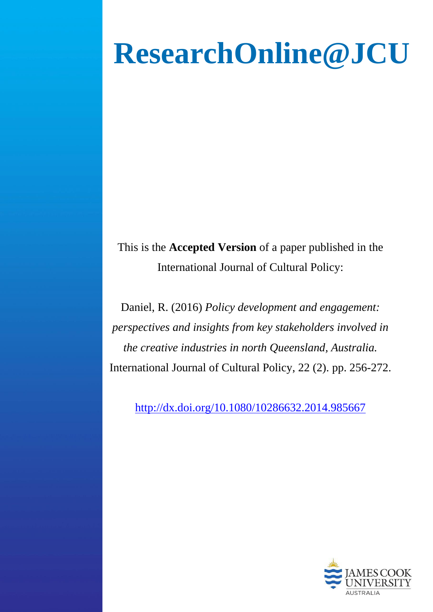# **ResearchOnline@JCU**

This is the **Accepted Version** of a paper published in the International Journal of Cultural Policy:

Daniel, R. (2016) *Policy development and engagement: perspectives and insights from key stakeholders involved in the creative industries in north Queensland, Australia.* International Journal of Cultural Policy, 22 (2). pp. 256-272.

<http://dx.doi.org/10.1080/10286632.2014.985667>

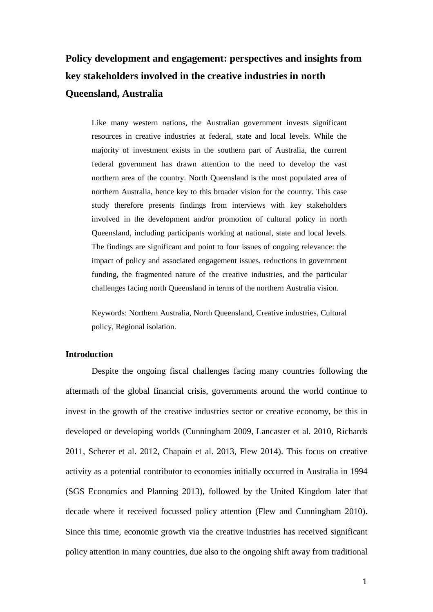# **Policy development and engagement: perspectives and insights from key stakeholders involved in the creative industries in north Queensland, Australia**

Like many western nations, the Australian government invests significant resources in creative industries at federal, state and local levels. While the majority of investment exists in the southern part of Australia, the current federal government has drawn attention to the need to develop the vast northern area of the country. North Queensland is the most populated area of northern Australia, hence key to this broader vision for the country. This case study therefore presents findings from interviews with key stakeholders involved in the development and/or promotion of cultural policy in north Queensland, including participants working at national, state and local levels. The findings are significant and point to four issues of ongoing relevance: the impact of policy and associated engagement issues, reductions in government funding, the fragmented nature of the creative industries, and the particular challenges facing north Queensland in terms of the northern Australia vision.

Keywords: Northern Australia, North Queensland, Creative industries, Cultural policy, Regional isolation.

# **Introduction**

Despite the ongoing fiscal challenges facing many countries following the aftermath of the global financial crisis, governments around the world continue to invest in the growth of the creative industries sector or creative economy, be this in developed or developing worlds (Cunningham 2009, Lancaster et al. 2010, Richards 2011, Scherer et al. 2012, Chapain et al. 2013, Flew 2014). This focus on creative activity as a potential contributor to economies initially occurred in Australia in 1994 (SGS Economics and Planning 2013), followed by the United Kingdom later that decade where it received focussed policy attention (Flew and Cunningham 2010). Since this time, economic growth via the creative industries has received significant policy attention in many countries, due also to the ongoing shift away from traditional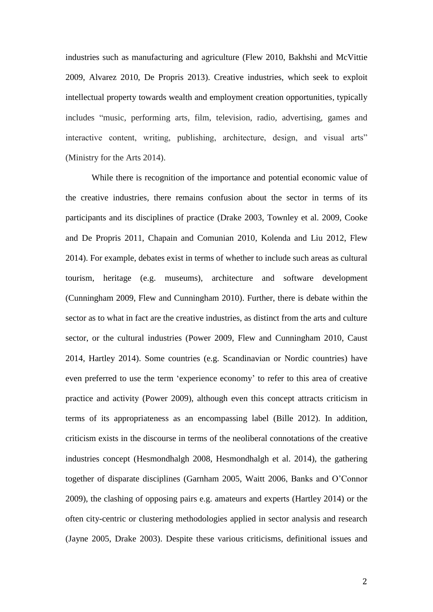industries such as manufacturing and agriculture (Flew 2010, Bakhshi and McVittie 2009, Alvarez 2010, De Propris 2013). Creative industries, which seek to exploit intellectual property towards wealth and employment creation opportunities, typically includes "music, performing arts, film, television, radio, advertising, games and interactive content, writing, publishing, architecture, design, and visual arts" (Ministry for the Arts 2014).

While there is recognition of the importance and potential economic value of the creative industries, there remains confusion about the sector in terms of its participants and its disciplines of practice (Drake 2003, Townley et al. 2009, Cooke and De Propris 2011, Chapain and Comunian 2010, Kolenda and Liu 2012, Flew 2014). For example, debates exist in terms of whether to include such areas as cultural tourism, heritage (e.g. museums), architecture and software development (Cunningham 2009, Flew and Cunningham 2010). Further, there is debate within the sector as to what in fact are the creative industries, as distinct from the arts and culture sector, or the cultural industries (Power 2009, Flew and Cunningham 2010, Caust 2014, Hartley 2014). Some countries (e.g. Scandinavian or Nordic countries) have even preferred to use the term 'experience economy' to refer to this area of creative practice and activity (Power 2009), although even this concept attracts criticism in terms of its appropriateness as an encompassing label (Bille 2012). In addition, criticism exists in the discourse in terms of the neoliberal connotations of the creative industries concept (Hesmondhalgh 2008, Hesmondhalgh et al. 2014), the gathering together of disparate disciplines (Garnham 2005, Waitt 2006, Banks and O'Connor 2009), the clashing of opposing pairs e.g. amateurs and experts (Hartley 2014) or the often city-centric or clustering methodologies applied in sector analysis and research (Jayne 2005, Drake 2003). Despite these various criticisms, definitional issues and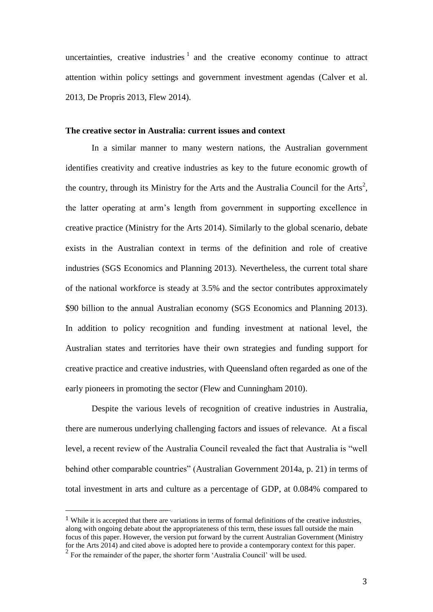uncertainties, creative industries  $\frac{1}{x}$  and the creative economy continue to attract attention within policy settings and government investment agendas (Calver et al. 2013, De Propris 2013, Flew 2014).

#### **The creative sector in Australia: current issues and context**

In a similar manner to many western nations, the Australian government identifies creativity and creative industries as key to the future economic growth of the country, through its Ministry for the Arts and the Australia Council for the  $Arts<sup>2</sup>$ , the latter operating at arm's length from government in supporting excellence in creative practice (Ministry for the Arts 2014). Similarly to the global scenario, debate exists in the Australian context in terms of the definition and role of creative industries (SGS Economics and Planning 2013). Nevertheless, the current total share of the national workforce is steady at 3.5% and the sector contributes approximately \$90 billion to the annual Australian economy (SGS Economics and Planning 2013). In addition to policy recognition and funding investment at national level, the Australian states and territories have their own strategies and funding support for creative practice and creative industries, with Queensland often regarded as one of the early pioneers in promoting the sector (Flew and Cunningham 2010).

Despite the various levels of recognition of creative industries in Australia, there are numerous underlying challenging factors and issues of relevance. At a fiscal level, a recent review of the Australia Council revealed the fact that Australia is "well behind other comparable countries" (Australian Government 2014a, p. 21) in terms of total investment in arts and culture as a percentage of GDP, at 0.084% compared to

 $\overline{a}$ 

<sup>1</sup> While it is accepted that there are variations in terms of formal definitions of the creative industries, along with ongoing debate about the appropriateness of this term, these issues fall outside the main focus of this paper. However, the version put forward by the current Australian Government (Ministry for the Arts 2014) and cited above is adopted here to provide a contemporary context for this paper.

<sup>&</sup>lt;sup>2</sup> For the remainder of the paper, the shorter form 'Australia Council' will be used.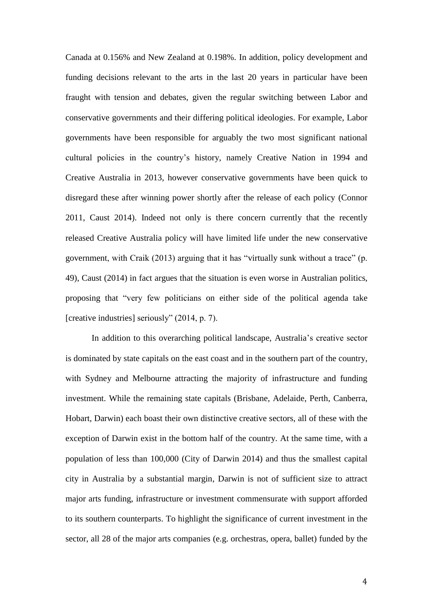Canada at 0.156% and New Zealand at 0.198%. In addition, policy development and funding decisions relevant to the arts in the last 20 years in particular have been fraught with tension and debates, given the regular switching between Labor and conservative governments and their differing political ideologies. For example, Labor governments have been responsible for arguably the two most significant national cultural policies in the country's history, namely Creative Nation in 1994 and Creative Australia in 2013, however conservative governments have been quick to disregard these after winning power shortly after the release of each policy (Connor 2011, Caust 2014). Indeed not only is there concern currently that the recently released Creative Australia policy will have limited life under the new conservative government, with Craik (2013) arguing that it has "virtually sunk without a trace" (p. 49), Caust (2014) in fact argues that the situation is even worse in Australian politics, proposing that "very few politicians on either side of the political agenda take [creative industries] seriously" (2014, p. 7).

In addition to this overarching political landscape, Australia's creative sector is dominated by state capitals on the east coast and in the southern part of the country, with Sydney and Melbourne attracting the majority of infrastructure and funding investment. While the remaining state capitals (Brisbane, Adelaide, Perth, Canberra, Hobart, Darwin) each boast their own distinctive creative sectors, all of these with the exception of Darwin exist in the bottom half of the country. At the same time, with a population of less than 100,000 (City of Darwin 2014) and thus the smallest capital city in Australia by a substantial margin, Darwin is not of sufficient size to attract major arts funding, infrastructure or investment commensurate with support afforded to its southern counterparts. To highlight the significance of current investment in the sector, all 28 of the major arts companies (e.g. orchestras, opera, ballet) funded by the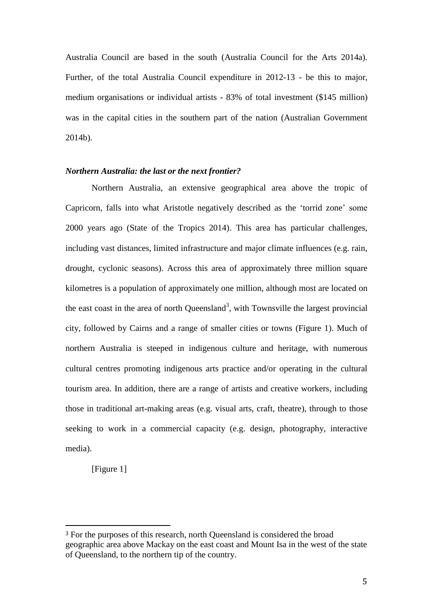Australia Council are based in the south (Australia Council for the Arts 2014a). Further, of the total Australia Council expenditure in 2012-13 - be this to major, medium organisations or individual artists - 83% of total investment (\$145 million) was in the capital cities in the southern part of the nation (Australian Government 2014b).

#### *Northern Australia: the last or the next frontier?*

Northern Australia, an extensive geographical area above the tropic of Capricorn, falls into what Aristotle negatively described as the 'torrid zone' some 2000 years ago (State of the Tropics 2014). This area has particular challenges, including vast distances, limited infrastructure and major climate influences (e.g. rain, drought, cyclonic seasons). Across this area of approximately three million square kilometres is a population of approximately one million, although most are located on the east coast in the area of north Queensland<sup>3</sup>, with Townsville the largest provincial city, followed by Cairns and a range of smaller cities or towns (Figure 1). Much of northern Australia is steeped in indigenous culture and heritage, with numerous cultural centres promoting indigenous arts practice and/or operating in the cultural tourism area. In addition, there are a range of artists and creative workers, including those in traditional art-making areas (e.g. visual arts, craft, theatre), through to those seeking to work in a commercial capacity (e.g. design, photography, interactive media).

[Figure 1]

 $\overline{a}$ 

<sup>3</sup> For the purposes of this research, north Queensland is considered the broad geographic area above Mackay on the east coast and Mount Isa in the west of the state of Queensland, to the northern tip of the country.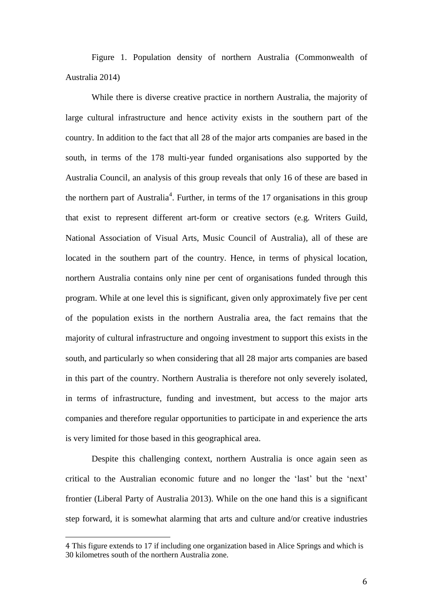Figure 1. Population density of northern Australia (Commonwealth of Australia 2014)

While there is diverse creative practice in northern Australia, the majority of large cultural infrastructure and hence activity exists in the southern part of the country. In addition to the fact that all 28 of the major arts companies are based in the south, in terms of the 178 multi-year funded organisations also supported by the Australia Council, an analysis of this group reveals that only 16 of these are based in the northern part of Australia<sup>4</sup>. Further, in terms of the 17 organisations in this group that exist to represent different art-form or creative sectors (e.g. Writers Guild, National Association of Visual Arts, Music Council of Australia), all of these are located in the southern part of the country. Hence, in terms of physical location, northern Australia contains only nine per cent of organisations funded through this program. While at one level this is significant, given only approximately five per cent of the population exists in the northern Australia area, the fact remains that the majority of cultural infrastructure and ongoing investment to support this exists in the south, and particularly so when considering that all 28 major arts companies are based in this part of the country. Northern Australia is therefore not only severely isolated, in terms of infrastructure, funding and investment, but access to the major arts companies and therefore regular opportunities to participate in and experience the arts is very limited for those based in this geographical area.

Despite this challenging context, northern Australia is once again seen as critical to the Australian economic future and no longer the 'last' but the 'next' frontier (Liberal Party of Australia 2013). While on the one hand this is a significant step forward, it is somewhat alarming that arts and culture and/or creative industries

 $\overline{a}$ 

<sup>4</sup> This figure extends to 17 if including one organization based in Alice Springs and which is 30 kilometres south of the northern Australia zone.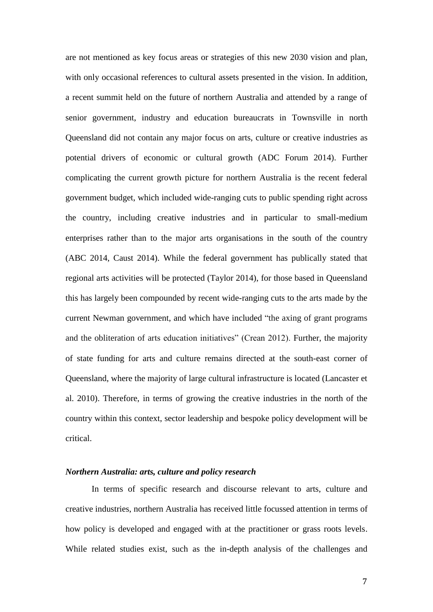are not mentioned as key focus areas or strategies of this new 2030 vision and plan, with only occasional references to cultural assets presented in the vision. In addition, a recent summit held on the future of northern Australia and attended by a range of senior government, industry and education bureaucrats in Townsville in north Queensland did not contain any major focus on arts, culture or creative industries as potential drivers of economic or cultural growth (ADC Forum 2014). Further complicating the current growth picture for northern Australia is the recent federal government budget, which included wide-ranging cuts to public spending right across the country, including creative industries and in particular to small-medium enterprises rather than to the major arts organisations in the south of the country (ABC 2014, Caust 2014). While the federal government has publically stated that regional arts activities will be protected (Taylor 2014), for those based in Queensland this has largely been compounded by recent wide-ranging cuts to the arts made by the current Newman government, and which have included "the axing of grant programs and the obliteration of arts education initiatives" (Crean 2012). Further, the majority of state funding for arts and culture remains directed at the south-east corner of Queensland, where the majority of large cultural infrastructure is located (Lancaster et al. 2010). Therefore, in terms of growing the creative industries in the north of the country within this context, sector leadership and bespoke policy development will be critical.

#### *Northern Australia: arts, culture and policy research*

In terms of specific research and discourse relevant to arts, culture and creative industries, northern Australia has received little focussed attention in terms of how policy is developed and engaged with at the practitioner or grass roots levels. While related studies exist, such as the in-depth analysis of the challenges and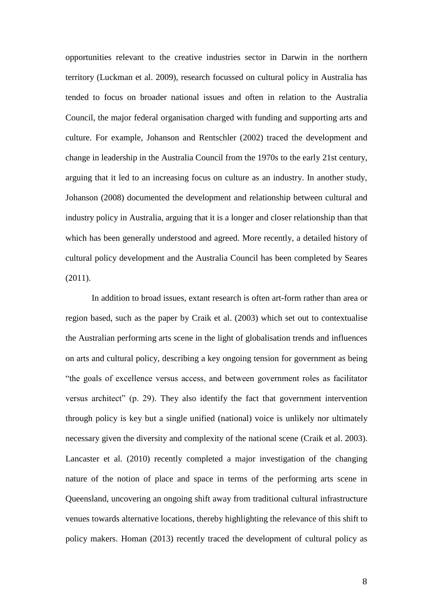opportunities relevant to the creative industries sector in Darwin in the northern territory (Luckman et al. 2009), research focussed on cultural policy in Australia has tended to focus on broader national issues and often in relation to the Australia Council, the major federal organisation charged with funding and supporting arts and culture. For example, Johanson and Rentschler (2002) traced the development and change in leadership in the Australia Council from the 1970s to the early 21st century, arguing that it led to an increasing focus on culture as an industry. In another study, Johanson (2008) documented the development and relationship between cultural and industry policy in Australia, arguing that it is a longer and closer relationship than that which has been generally understood and agreed. More recently, a detailed history of cultural policy development and the Australia Council has been completed by Seares (2011).

In addition to broad issues, extant research is often art-form rather than area or region based, such as the paper by Craik et al. (2003) which set out to contextualise the Australian performing arts scene in the light of globalisation trends and influences on arts and cultural policy, describing a key ongoing tension for government as being "the goals of excellence versus access, and between government roles as facilitator versus architect" (p. 29). They also identify the fact that government intervention through policy is key but a single unified (national) voice is unlikely nor ultimately necessary given the diversity and complexity of the national scene (Craik et al. 2003). Lancaster et al. (2010) recently completed a major investigation of the changing nature of the notion of place and space in terms of the performing arts scene in Queensland, uncovering an ongoing shift away from traditional cultural infrastructure venues towards alternative locations, thereby highlighting the relevance of this shift to policy makers. Homan (2013) recently traced the development of cultural policy as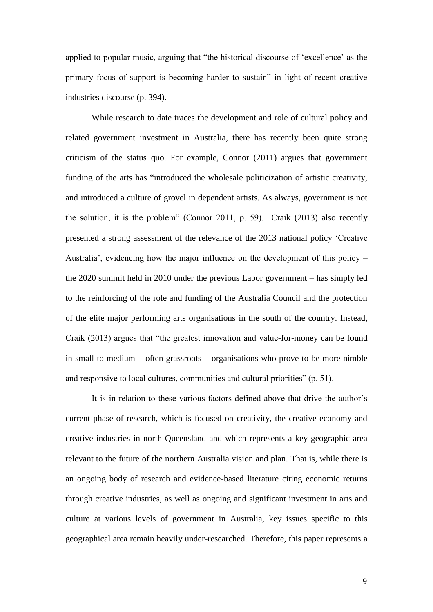applied to popular music, arguing that "the historical discourse of 'excellence' as the primary focus of support is becoming harder to sustain" in light of recent creative industries discourse (p. 394).

While research to date traces the development and role of cultural policy and related government investment in Australia, there has recently been quite strong criticism of the status quo. For example, Connor (2011) argues that government funding of the arts has "introduced the wholesale politicization of artistic creativity, and introduced a culture of grovel in dependent artists. As always, government is not the solution, it is the problem" (Connor 2011, p. 59). Craik (2013) also recently presented a strong assessment of the relevance of the 2013 national policy 'Creative Australia', evidencing how the major influence on the development of this policy – the 2020 summit held in 2010 under the previous Labor government – has simply led to the reinforcing of the role and funding of the Australia Council and the protection of the elite major performing arts organisations in the south of the country. Instead, Craik (2013) argues that "the greatest innovation and value-for-money can be found in small to medium – often grassroots – organisations who prove to be more nimble and responsive to local cultures, communities and cultural priorities" (p. 51).

It is in relation to these various factors defined above that drive the author's current phase of research, which is focused on creativity, the creative economy and creative industries in north Queensland and which represents a key geographic area relevant to the future of the northern Australia vision and plan. That is, while there is an ongoing body of research and evidence-based literature citing economic returns through creative industries, as well as ongoing and significant investment in arts and culture at various levels of government in Australia, key issues specific to this geographical area remain heavily under-researched. Therefore, this paper represents a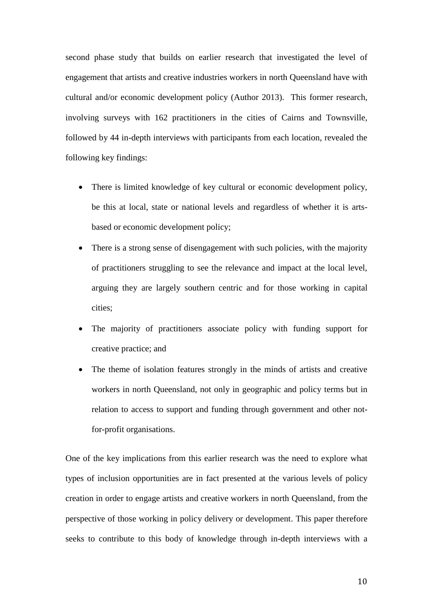second phase study that builds on earlier research that investigated the level of engagement that artists and creative industries workers in north Queensland have with cultural and/or economic development policy (Author 2013). This former research, involving surveys with 162 practitioners in the cities of Cairns and Townsville, followed by 44 in-depth interviews with participants from each location, revealed the following key findings:

- There is limited knowledge of key cultural or economic development policy, be this at local, state or national levels and regardless of whether it is artsbased or economic development policy;
- There is a strong sense of disengagement with such policies, with the majority of practitioners struggling to see the relevance and impact at the local level, arguing they are largely southern centric and for those working in capital cities;
- The majority of practitioners associate policy with funding support for creative practice; and
- The theme of isolation features strongly in the minds of artists and creative workers in north Queensland, not only in geographic and policy terms but in relation to access to support and funding through government and other notfor-profit organisations.

One of the key implications from this earlier research was the need to explore what types of inclusion opportunities are in fact presented at the various levels of policy creation in order to engage artists and creative workers in north Queensland, from the perspective of those working in policy delivery or development. This paper therefore seeks to contribute to this body of knowledge through in-depth interviews with a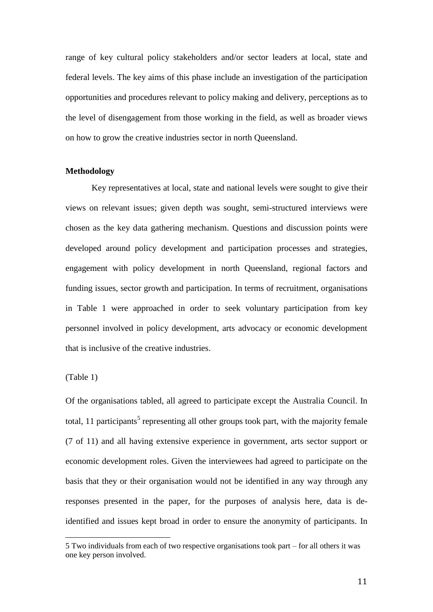range of key cultural policy stakeholders and/or sector leaders at local, state and federal levels. The key aims of this phase include an investigation of the participation opportunities and procedures relevant to policy making and delivery, perceptions as to the level of disengagement from those working in the field, as well as broader views on how to grow the creative industries sector in north Queensland.

#### **Methodology**

Key representatives at local, state and national levels were sought to give their views on relevant issues; given depth was sought, semi-structured interviews were chosen as the key data gathering mechanism. Questions and discussion points were developed around policy development and participation processes and strategies, engagement with policy development in north Queensland, regional factors and funding issues, sector growth and participation. In terms of recruitment, organisations in Table 1 were approached in order to seek voluntary participation from key personnel involved in policy development, arts advocacy or economic development that is inclusive of the creative industries.

#### (Table 1)

Of the organisations tabled, all agreed to participate except the Australia Council. In total, 11 participants<sup>5</sup> representing all other groups took part, with the majority female (7 of 11) and all having extensive experience in government, arts sector support or economic development roles. Given the interviewees had agreed to participate on the basis that they or their organisation would not be identified in any way through any responses presented in the paper, for the purposes of analysis here, data is deidentified and issues kept broad in order to ensure the anonymity of participants. In

<sup>5</sup> Two individuals from each of two respective organisations took part – for all others it was one key person involved.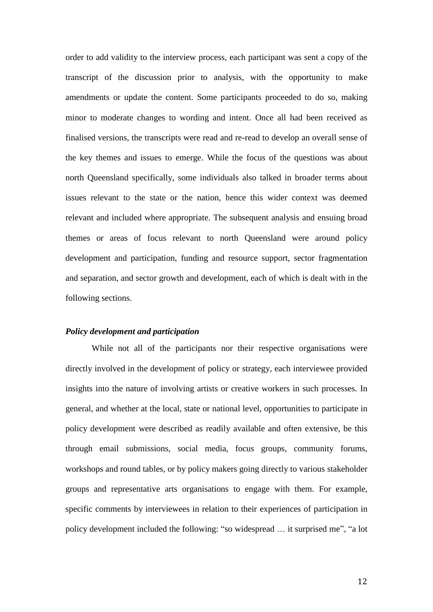order to add validity to the interview process, each participant was sent a copy of the transcript of the discussion prior to analysis, with the opportunity to make amendments or update the content. Some participants proceeded to do so, making minor to moderate changes to wording and intent. Once all had been received as finalised versions, the transcripts were read and re-read to develop an overall sense of the key themes and issues to emerge. While the focus of the questions was about north Queensland specifically, some individuals also talked in broader terms about issues relevant to the state or the nation, hence this wider context was deemed relevant and included where appropriate. The subsequent analysis and ensuing broad themes or areas of focus relevant to north Queensland were around policy development and participation, funding and resource support, sector fragmentation and separation, and sector growth and development, each of which is dealt with in the following sections.

#### *Policy development and participation*

While not all of the participants nor their respective organisations were directly involved in the development of policy or strategy, each interviewee provided insights into the nature of involving artists or creative workers in such processes. In general, and whether at the local, state or national level, opportunities to participate in policy development were described as readily available and often extensive, be this through email submissions, social media, focus groups, community forums, workshops and round tables, or by policy makers going directly to various stakeholder groups and representative arts organisations to engage with them. For example, specific comments by interviewees in relation to their experiences of participation in policy development included the following: "so widespread … it surprised me", "a lot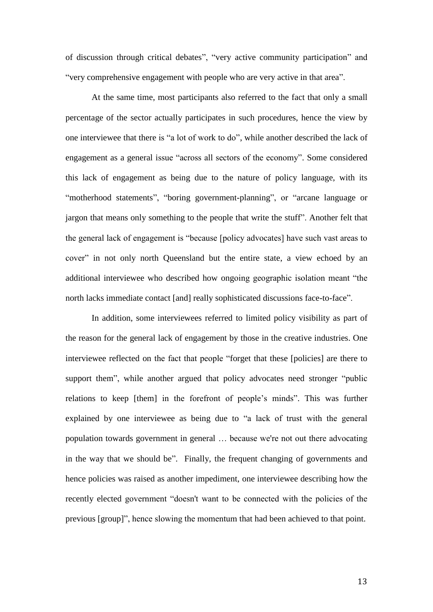of discussion through critical debates", "very active community participation" and "very comprehensive engagement with people who are very active in that area".

At the same time, most participants also referred to the fact that only a small percentage of the sector actually participates in such procedures, hence the view by one interviewee that there is "a lot of work to do", while another described the lack of engagement as a general issue "across all sectors of the economy". Some considered this lack of engagement as being due to the nature of policy language, with its "motherhood statements", "boring government-planning", or "arcane language or jargon that means only something to the people that write the stuff". Another felt that the general lack of engagement is "because [policy advocates] have such vast areas to cover" in not only north Queensland but the entire state, a view echoed by an additional interviewee who described how ongoing geographic isolation meant "the north lacks immediate contact [and] really sophisticated discussions face-to-face".

In addition, some interviewees referred to limited policy visibility as part of the reason for the general lack of engagement by those in the creative industries. One interviewee reflected on the fact that people "forget that these [policies] are there to support them", while another argued that policy advocates need stronger "public relations to keep [them] in the forefront of people's minds". This was further explained by one interviewee as being due to "a lack of trust with the general population towards government in general … because we're not out there advocating in the way that we should be". Finally, the frequent changing of governments and hence policies was raised as another impediment, one interviewee describing how the recently elected government "doesn't want to be connected with the policies of the previous [group]", hence slowing the momentum that had been achieved to that point.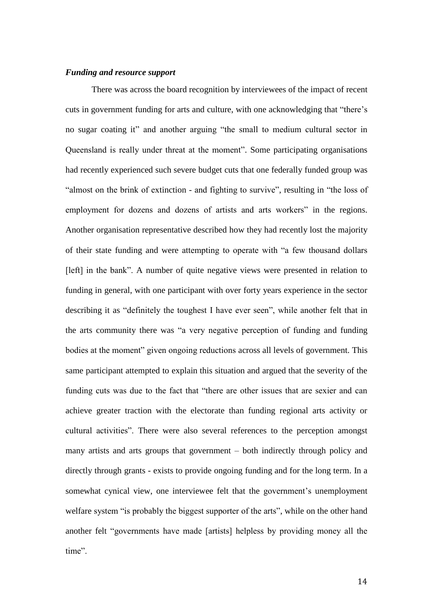#### *Funding and resource support*

There was across the board recognition by interviewees of the impact of recent cuts in government funding for arts and culture, with one acknowledging that "there's no sugar coating it" and another arguing "the small to medium cultural sector in Queensland is really under threat at the moment". Some participating organisations had recently experienced such severe budget cuts that one federally funded group was "almost on the brink of extinction - and fighting to survive", resulting in "the loss of employment for dozens and dozens of artists and arts workers" in the regions. Another organisation representative described how they had recently lost the majority of their state funding and were attempting to operate with "a few thousand dollars [left] in the bank". A number of quite negative views were presented in relation to funding in general, with one participant with over forty years experience in the sector describing it as "definitely the toughest I have ever seen", while another felt that in the arts community there was "a very negative perception of funding and funding bodies at the moment" given ongoing reductions across all levels of government. This same participant attempted to explain this situation and argued that the severity of the funding cuts was due to the fact that "there are other issues that are sexier and can achieve greater traction with the electorate than funding regional arts activity or cultural activities". There were also several references to the perception amongst many artists and arts groups that government – both indirectly through policy and directly through grants - exists to provide ongoing funding and for the long term. In a somewhat cynical view, one interviewee felt that the government's unemployment welfare system "is probably the biggest supporter of the arts", while on the other hand another felt "governments have made [artists] helpless by providing money all the time".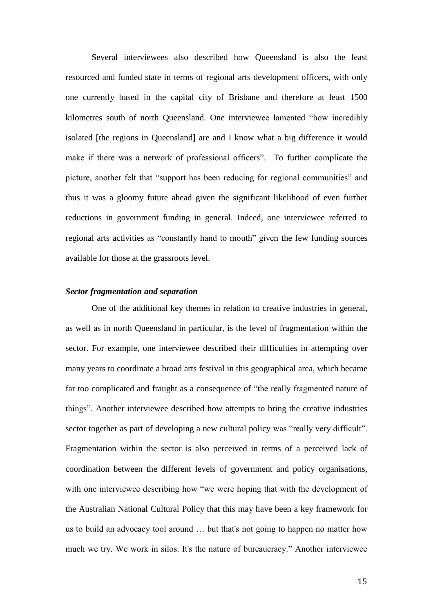Several interviewees also described how Queensland is also the least resourced and funded state in terms of regional arts development officers, with only one currently based in the capital city of Brisbane and therefore at least 1500 kilometres south of north Queensland. One interviewee lamented "how incredibly isolated [the regions in Queensland] are and I know what a big difference it would make if there was a network of professional officers". To further complicate the picture, another felt that "support has been reducing for regional communities" and thus it was a gloomy future ahead given the significant likelihood of even further reductions in government funding in general. Indeed, one interviewee referred to regional arts activities as "constantly hand to mouth" given the few funding sources available for those at the grassroots level.

#### *Sector fragmentation and separation*

One of the additional key themes in relation to creative industries in general, as well as in north Queensland in particular, is the level of fragmentation within the sector. For example, one interviewee described their difficulties in attempting over many years to coordinate a broad arts festival in this geographical area, which became far too complicated and fraught as a consequence of "the really fragmented nature of things". Another interviewee described how attempts to bring the creative industries sector together as part of developing a new cultural policy was "really very difficult". Fragmentation within the sector is also perceived in terms of a perceived lack of coordination between the different levels of government and policy organisations, with one interviewee describing how "we were hoping that with the development of the Australian National Cultural Policy that this may have been a key framework for us to build an advocacy tool around … but that's not going to happen no matter how much we try. We work in silos. It's the nature of bureaucracy." Another interviewee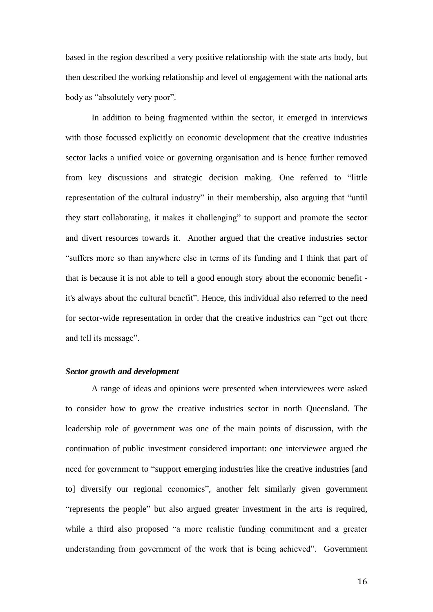based in the region described a very positive relationship with the state arts body, but then described the working relationship and level of engagement with the national arts body as "absolutely very poor".

In addition to being fragmented within the sector, it emerged in interviews with those focussed explicitly on economic development that the creative industries sector lacks a unified voice or governing organisation and is hence further removed from key discussions and strategic decision making. One referred to "little representation of the cultural industry" in their membership, also arguing that "until they start collaborating, it makes it challenging" to support and promote the sector and divert resources towards it. Another argued that the creative industries sector "suffers more so than anywhere else in terms of its funding and I think that part of that is because it is not able to tell a good enough story about the economic benefit it's always about the cultural benefit". Hence, this individual also referred to the need for sector-wide representation in order that the creative industries can "get out there and tell its message".

#### *Sector growth and development*

A range of ideas and opinions were presented when interviewees were asked to consider how to grow the creative industries sector in north Queensland. The leadership role of government was one of the main points of discussion, with the continuation of public investment considered important: one interviewee argued the need for government to "support emerging industries like the creative industries [and to] diversify our regional economies", another felt similarly given government "represents the people" but also argued greater investment in the arts is required, while a third also proposed "a more realistic funding commitment and a greater understanding from government of the work that is being achieved". Government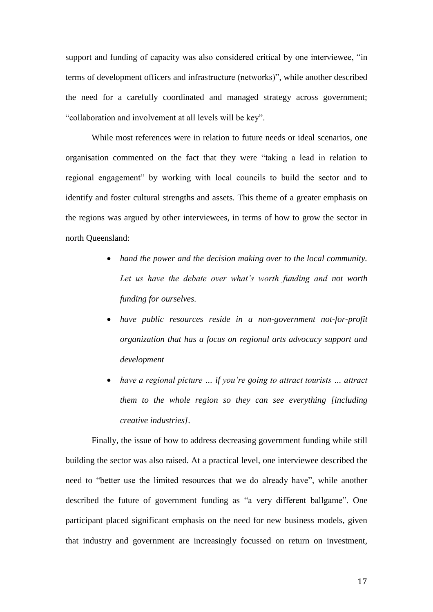support and funding of capacity was also considered critical by one interviewee, "in terms of development officers and infrastructure (networks)", while another described the need for a carefully coordinated and managed strategy across government; "collaboration and involvement at all levels will be key".

While most references were in relation to future needs or ideal scenarios, one organisation commented on the fact that they were "taking a lead in relation to regional engagement" by working with local councils to build the sector and to identify and foster cultural strengths and assets. This theme of a greater emphasis on the regions was argued by other interviewees, in terms of how to grow the sector in north Queensland:

- *hand the power and the decision making over to the local community.*  Let us have the debate over what's worth funding and not worth *funding for ourselves.*
- *have public resources reside in a non-government not-for-profit organization that has a focus on regional arts advocacy support and development*
- *have a regional picture … if you're going to attract tourists … attract them to the whole region so they can see everything [including creative industries].*

Finally, the issue of how to address decreasing government funding while still building the sector was also raised. At a practical level, one interviewee described the need to "better use the limited resources that we do already have", while another described the future of government funding as "a very different ballgame". One participant placed significant emphasis on the need for new business models, given that industry and government are increasingly focussed on return on investment,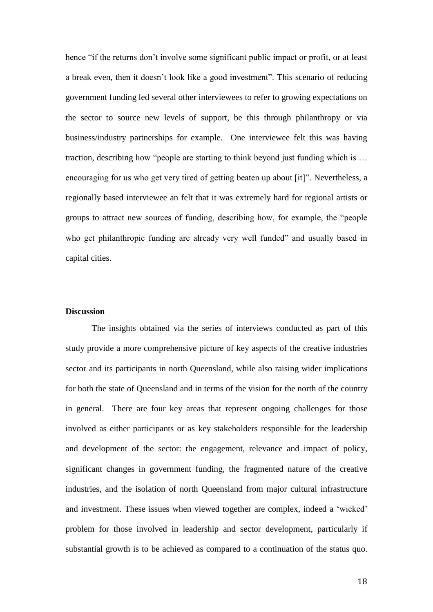hence "if the returns don't involve some significant public impact or profit, or at least a break even, then it doesn't look like a good investment". This scenario of reducing government funding led several other interviewees to refer to growing expectations on the sector to source new levels of support, be this through philanthropy or via business/industry partnerships for example. One interviewee felt this was having traction, describing how "people are starting to think beyond just funding which is … encouraging for us who get very tired of getting beaten up about [it]". Nevertheless, a regionally based interviewee an felt that it was extremely hard for regional artists or groups to attract new sources of funding, describing how, for example, the "people who get philanthropic funding are already very well funded" and usually based in capital cities.

# **Discussion**

The insights obtained via the series of interviews conducted as part of this study provide a more comprehensive picture of key aspects of the creative industries sector and its participants in north Queensland, while also raising wider implications for both the state of Queensland and in terms of the vision for the north of the country in general. There are four key areas that represent ongoing challenges for those involved as either participants or as key stakeholders responsible for the leadership and development of the sector: the engagement, relevance and impact of policy, significant changes in government funding, the fragmented nature of the creative industries, and the isolation of north Queensland from major cultural infrastructure and investment. These issues when viewed together are complex, indeed a 'wicked' problem for those involved in leadership and sector development, particularly if substantial growth is to be achieved as compared to a continuation of the status quo.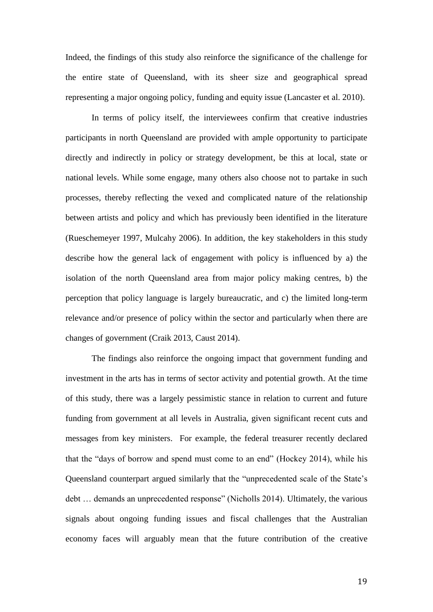Indeed, the findings of this study also reinforce the significance of the challenge for the entire state of Queensland, with its sheer size and geographical spread representing a major ongoing policy, funding and equity issue (Lancaster et al. 2010).

In terms of policy itself, the interviewees confirm that creative industries participants in north Queensland are provided with ample opportunity to participate directly and indirectly in policy or strategy development, be this at local, state or national levels. While some engage, many others also choose not to partake in such processes, thereby reflecting the vexed and complicated nature of the relationship between artists and policy and which has previously been identified in the literature (Rueschemeyer 1997, Mulcahy 2006). In addition, the key stakeholders in this study describe how the general lack of engagement with policy is influenced by a) the isolation of the north Queensland area from major policy making centres, b) the perception that policy language is largely bureaucratic, and c) the limited long-term relevance and/or presence of policy within the sector and particularly when there are changes of government (Craik 2013, Caust 2014).

The findings also reinforce the ongoing impact that government funding and investment in the arts has in terms of sector activity and potential growth. At the time of this study, there was a largely pessimistic stance in relation to current and future funding from government at all levels in Australia, given significant recent cuts and messages from key ministers. For example, the federal treasurer recently declared that the "days of borrow and spend must come to an end" (Hockey 2014), while his Queensland counterpart argued similarly that the "unprecedented scale of the State's debt … demands an unprecedented response" (Nicholls 2014). Ultimately, the various signals about ongoing funding issues and fiscal challenges that the Australian economy faces will arguably mean that the future contribution of the creative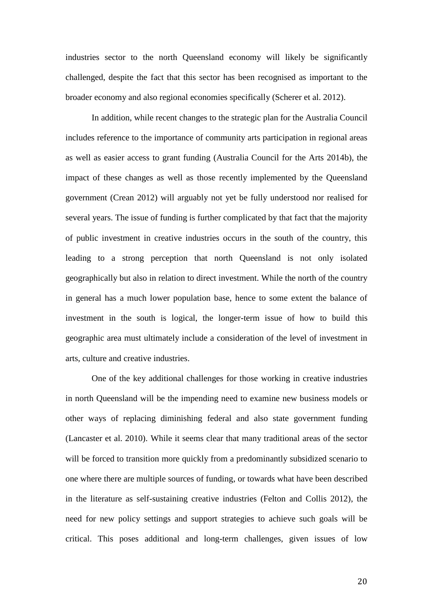industries sector to the north Queensland economy will likely be significantly challenged, despite the fact that this sector has been recognised as important to the broader economy and also regional economies specifically (Scherer et al. 2012).

In addition, while recent changes to the strategic plan for the Australia Council includes reference to the importance of community arts participation in regional areas as well as easier access to grant funding (Australia Council for the Arts 2014b), the impact of these changes as well as those recently implemented by the Queensland government (Crean 2012) will arguably not yet be fully understood nor realised for several years. The issue of funding is further complicated by that fact that the majority of public investment in creative industries occurs in the south of the country, this leading to a strong perception that north Queensland is not only isolated geographically but also in relation to direct investment. While the north of the country in general has a much lower population base, hence to some extent the balance of investment in the south is logical, the longer-term issue of how to build this geographic area must ultimately include a consideration of the level of investment in arts, culture and creative industries.

One of the key additional challenges for those working in creative industries in north Queensland will be the impending need to examine new business models or other ways of replacing diminishing federal and also state government funding (Lancaster et al. 2010). While it seems clear that many traditional areas of the sector will be forced to transition more quickly from a predominantly subsidized scenario to one where there are multiple sources of funding, or towards what have been described in the literature as self-sustaining creative industries (Felton and Collis 2012), the need for new policy settings and support strategies to achieve such goals will be critical. This poses additional and long-term challenges, given issues of low

20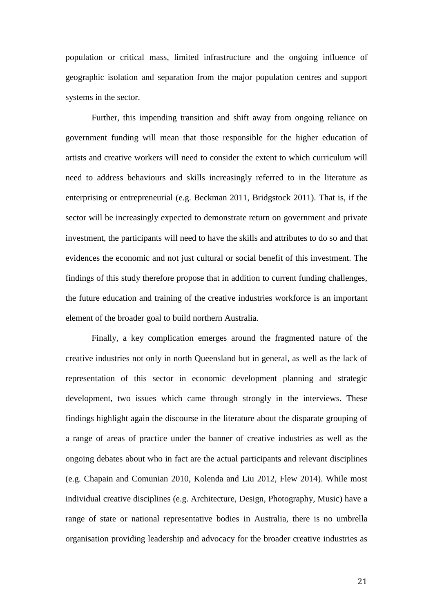population or critical mass, limited infrastructure and the ongoing influence of geographic isolation and separation from the major population centres and support systems in the sector.

Further, this impending transition and shift away from ongoing reliance on government funding will mean that those responsible for the higher education of artists and creative workers will need to consider the extent to which curriculum will need to address behaviours and skills increasingly referred to in the literature as enterprising or entrepreneurial (e.g. Beckman 2011, Bridgstock 2011). That is, if the sector will be increasingly expected to demonstrate return on government and private investment, the participants will need to have the skills and attributes to do so and that evidences the economic and not just cultural or social benefit of this investment. The findings of this study therefore propose that in addition to current funding challenges, the future education and training of the creative industries workforce is an important element of the broader goal to build northern Australia.

Finally, a key complication emerges around the fragmented nature of the creative industries not only in north Queensland but in general, as well as the lack of representation of this sector in economic development planning and strategic development, two issues which came through strongly in the interviews. These findings highlight again the discourse in the literature about the disparate grouping of a range of areas of practice under the banner of creative industries as well as the ongoing debates about who in fact are the actual participants and relevant disciplines (e.g. Chapain and Comunian 2010, Kolenda and Liu 2012, Flew 2014). While most individual creative disciplines (e.g. Architecture, Design, Photography, Music) have a range of state or national representative bodies in Australia, there is no umbrella organisation providing leadership and advocacy for the broader creative industries as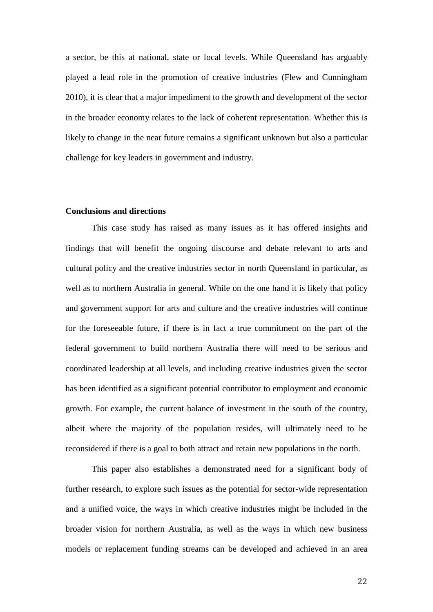a sector, be this at national, state or local levels. While Queensland has arguably played a lead role in the promotion of creative industries (Flew and Cunningham 2010), it is clear that a major impediment to the growth and development of the sector in the broader economy relates to the lack of coherent representation. Whether this is likely to change in the near future remains a significant unknown but also a particular challenge for key leaders in government and industry.

## **Conclusions and directions**

This case study has raised as many issues as it has offered insights and findings that will benefit the ongoing discourse and debate relevant to arts and cultural policy and the creative industries sector in north Queensland in particular, as well as to northern Australia in general. While on the one hand it is likely that policy and government support for arts and culture and the creative industries will continue for the foreseeable future, if there is in fact a true commitment on the part of the federal government to build northern Australia there will need to be serious and coordinated leadership at all levels, and including creative industries given the sector has been identified as a significant potential contributor to employment and economic growth. For example, the current balance of investment in the south of the country, albeit where the majority of the population resides, will ultimately need to be reconsidered if there is a goal to both attract and retain new populations in the north.

This paper also establishes a demonstrated need for a significant body of further research, to explore such issues as the potential for sector-wide representation and a unified voice, the ways in which creative industries might be included in the broader vision for northern Australia, as well as the ways in which new business models or replacement funding streams can be developed and achieved in an area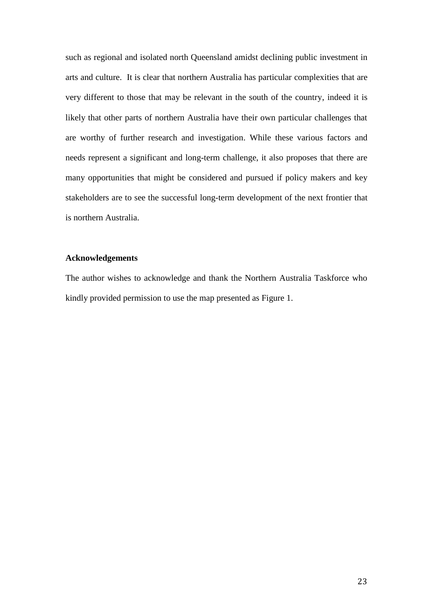such as regional and isolated north Queensland amidst declining public investment in arts and culture. It is clear that northern Australia has particular complexities that are very different to those that may be relevant in the south of the country, indeed it is likely that other parts of northern Australia have their own particular challenges that are worthy of further research and investigation. While these various factors and needs represent a significant and long-term challenge, it also proposes that there are many opportunities that might be considered and pursued if policy makers and key stakeholders are to see the successful long-term development of the next frontier that is northern Australia.

# **Acknowledgements**

The author wishes to acknowledge and thank the Northern Australia Taskforce who kindly provided permission to use the map presented as Figure 1.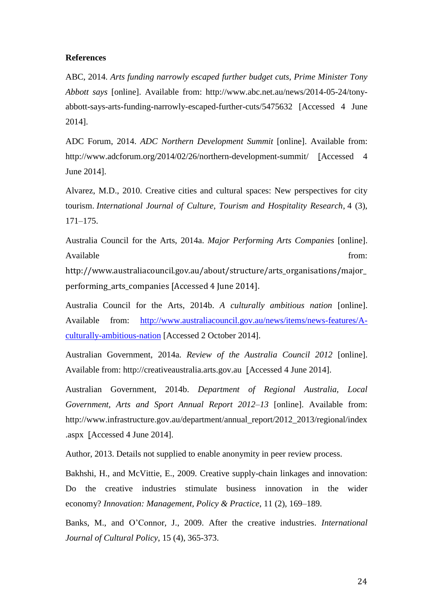#### **References**

ABC, 2014. *Arts funding narrowly escaped further budget cuts, Prime Minister Tony Abbott says* [online]. Available from: [http://www.abc.net.au/news/2014-05-24/tony](http://www.abc.net.au/news/2014-05-24/tony-abbott-says-arts-funding-narrowly-escaped-further-cuts/5475632)[abbott-says-arts-funding-narrowly-escaped-further-cuts/5475632](http://www.abc.net.au/news/2014-05-24/tony-abbott-says-arts-funding-narrowly-escaped-further-cuts/5475632) [Accessed 4 June 2014].

ADC Forum, 2014. *ADC Northern Development Summit* [online]. Available from: http://www.adcforum.org/2014/02/26/northern-development-summit/ [Accessed 4 June 2014].

Alvarez, M.D., 2010. Creative cities and cultural spaces: New perspectives for city tourism. *International Journal of Culture, Tourism and Hospitality Research*, 4 (3), 171–175.

Australia Council for the Arts, 2014a. *Major Performing Arts Companies* [online]. Available from:

[http://www.australiacouncil.gov.au/about/structure/arts\\_organisations/major\\_](http://www.australiacouncil.gov.au/about/structure/arts_organisations/major_performing_arts_companies) [performing\\_arts\\_companies](http://www.australiacouncil.gov.au/about/structure/arts_organisations/major_performing_arts_companies) [Accessed 4 June 2014].

Australia Council for the Arts, 2014b. *A culturally ambitious nation* [online]. Available from: [http://www.australiacouncil.gov.au/news/items/news-features/A](http://www.australiacouncil.gov.au/news/items/news-features/A-culturally-ambitious-nation)[culturally-ambitious-nation](http://www.australiacouncil.gov.au/news/items/news-features/A-culturally-ambitious-nation) [Accessed 2 October 2014].

Australian Government, 2014a. *Review of the Australia Council 2012* [online]. Available from: [http://creativeaustralia.arts.gov.au](http://creativeaustralia.arts.gov.au/) [Accessed 4 June 2014].

Australian Government, 2014b. *Department of Regional Australia, Local Government, Arts and Sport Annual Report 2012–13* [online]. Available from: http://www.infrastructure.gov.au/department/annual\_report/2012\_2013/regional/index .aspx [Accessed 4 June 2014].

Author, 2013. Details not supplied to enable anonymity in peer review process.

Bakhshi, H., and McVittie, E., 2009. Creative supply-chain linkages and innovation: Do the creative industries stimulate business innovation in the wider economy? *Innovation: Management, Policy & Practice*, 11 (2), 169–189.

Banks, M., and O'Connor, J., 2009. After the creative industries. *International Journal of Cultural Policy*, 15 (4), 365-373.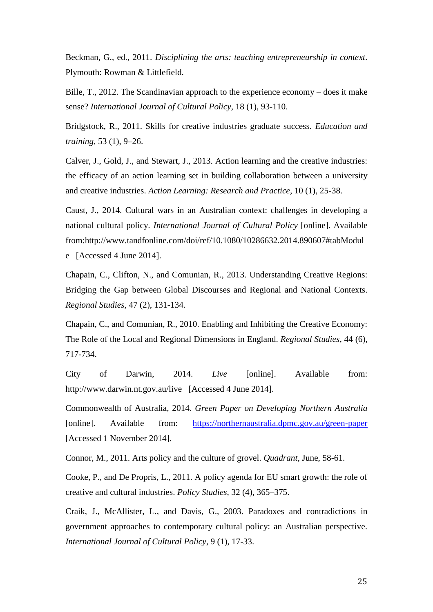Beckman, G., ed., 2011. *Disciplining the arts: teaching entrepreneurship in context*. Plymouth: Rowman & Littlefield.

Bille, T., 2012. The Scandinavian approach to the experience economy – does it make sense? *International Journal of Cultural Policy*, 18 (1), 93-110.

Bridgstock, R., 2011. Skills for creative industries graduate success. *Education and training*, 53 (1), 9–26.

Calver, J., Gold, J., and Stewart, J., 2013. Action learning and the creative industries: the efficacy of an action learning set in building collaboration between a university and creative industries. *Action Learning: Research and Practice*, 10 (1), 25-38.

Caust, J., 2014. Cultural wars in an Australian context: challenges in developing a national cultural policy. *International Journal of Cultural Policy* [online]. Available from:http://www.tandfonline.com/doi/ref/10.1080/10286632.2014.890607#tabModul e [Accessed 4 June 2014].

Chapain, C., Clifton, N., and Comunian, R., 2013. Understanding Creative Regions: Bridging the Gap between Global Discourses and Regional and National Contexts. *Regional Studies*, 47 (2), 131-134.

Chapain, C., and Comunian, R., 2010. Enabling and Inhibiting the Creative Economy: The Role of the Local and Regional Dimensions in England. *Regional Studies,* 44 (6), 717-734.

City of Darwin, 2014. *Live* [online]. Available from: <http://www.darwin.nt.gov.au/live> [Accessed 4 June 2014].

Commonwealth of Australia, 2014. *Green Paper on Developing Northern Australia*  [online]. Available from: <https://northernaustralia.dpmc.gov.au/green-paper> [Accessed 1 November 2014].

Connor, M., 2011. Arts policy and the culture of grovel. *Quadrant*, June, 58-61.

Cooke, P., and De Propris, L., 2011. A policy agenda for EU smart growth: the role of creative and cultural industries. *Policy Studies*, 32 (4), 365–375.

Craik, J., McAllister, L., and Davis, G., 2003. Paradoxes and contradictions in government approaches to contemporary cultural policy: an Australian perspective. *International Journal of Cultural Policy*, 9 (1), 17-33.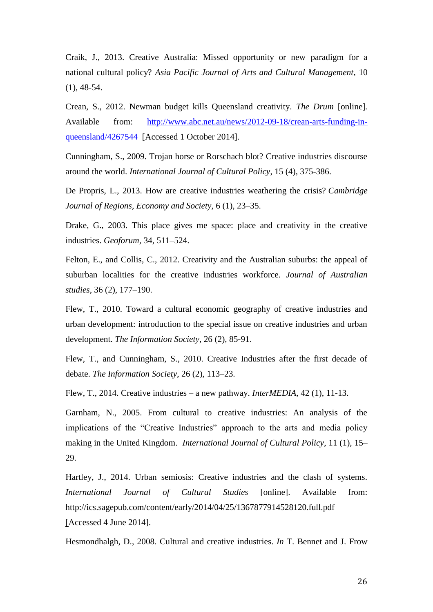Craik, J., 2013. Creative Australia: Missed opportunity or new paradigm for a national cultural policy? *Asia Pacific Journal of Arts and Cultural Management,* 10 (1), 48-54.

Crean, S., 2012. Newman budget kills Queensland creativity. *The Drum* [online]*.*  Available from: [http://www.abc.net.au/news/2012-09-18/crean-arts-funding-in](http://www.abc.net.au/news/2012-09-18/crean-arts-funding-in-queensland/4267544)[queensland/4267544](http://www.abc.net.au/news/2012-09-18/crean-arts-funding-in-queensland/4267544) [Accessed 1 October 2014].

Cunningham, S., 2009. Trojan horse or Rorschach blot? Creative industries discourse around the world. *International Journal of Cultural Policy*, 15 (4), 375-386.

De Propris, L., 2013. How are creative industries weathering the crisis? *Cambridge Journal of Regions, Economy and Society*, 6 (1), 23–35.

Drake, G., 2003. This place gives me space: place and creativity in the creative industries. *Geoforum,* 34, 511–524.

Felton, E., and Collis, C., 2012. Creativity and the Australian suburbs: the appeal of suburban localities for the creative industries workforce. *Journal of Australian studies*, 36 (2), 177–190.

Flew, T., 2010. Toward a cultural economic geography of creative industries and urban development: introduction to the special issue on creative industries and urban development. *The Information Society,* 26 (2), 85-91.

Flew, T., and Cunningham, S., 2010. Creative Industries after the first decade of debate. *The Information Society*, 26 (2), 113–23.

Flew, T., 2014. Creative industries – a new pathway. *InterMEDIA,* 42 (1), 11-13.

Garnham, N., 2005. From cultural to creative industries: An analysis of the implications of the "Creative Industries" approach to the arts and media policy making in the United Kingdom. *International Journal of Cultural Policy*, 11 (1), 15– 29.

Hartley, J., 2014. Urban semiosis: Creative industries and the clash of systems. *International Journal of Cultural Studies* [online]. Available from: http://ics.sagepub.com/content/early/2014/04/25/1367877914528120.full.pdf [Accessed 4 June 2014].

Hesmondhalgh, D., 2008. Cultural and creative industries. *In* T. Bennet and J. Frow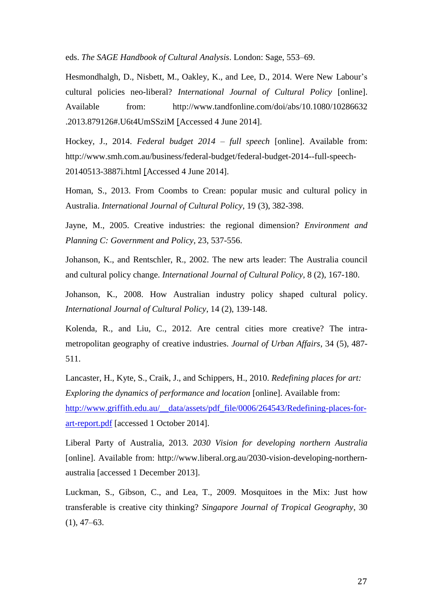eds. *The SAGE Handbook of Cultural Analysis*. London: Sage, 553–69.

Hesmondhalgh, D., Nisbett, M., Oakley, K., and Lee, D., 2014. Were New Labour's cultural policies neo-liberal? *International Journal of Cultural Policy* [online]. Available from: http://www.tandfonline.com/doi/abs/10.1080/10286632 .2013.879126#.U6t4UmSSziM [Accessed 4 June 2014].

Hockey, J., 2014. *Federal budget 2014 – full speech* [online]. Available from: http://www.smh.com.au/business/federal-budget/federal-budget-2014--full-speech-20140513-3887i.html [Accessed 4 June 2014].

Homan, S., 2013. From Coombs to Crean: popular music and cultural policy in Australia. *International Journal of Cultural Policy*, 19 (3), 382-398.

Jayne, M., 2005. Creative industries: the regional dimension? *Environment and Planning C: Government and Policy*, 23, 537-556.

Johanson, K., and Rentschler, R., 2002. The new arts leader: The Australia council and cultural policy change. *International Journal of Cultural Policy*, 8 (2), 167-180.

Johanson, K., 2008. How Australian industry policy shaped cultural policy. *International Journal of Cultural Policy*, 14 (2), 139-148.

Kolenda, R., and Liu, C., 2012. Are central cities more creative? The intrametropolitan geography of creative industries. *Journal of Urban Affairs*, 34 (5), 487- 511.

Lancaster, H., Kyte, S., Craik, J., and Schippers, H., 2010. *Redefining places for art: Exploring the dynamics of performance and location* [online]. Available from: [http://www.griffith.edu.au/\\_\\_data/assets/pdf\\_file/0006/264543/Redefining-places-for](http://www.griffith.edu.au/__data/assets/pdf_file/0006/264543/Redefining-places-for-art-report.pdf)[art-report.pdf](http://www.griffith.edu.au/__data/assets/pdf_file/0006/264543/Redefining-places-for-art-report.pdf) [accessed 1 October 2014].

Liberal Party of Australia, 2013. *2030 Vision for developing northern Australia*  [online]. Available from: http://www.liberal.org.au/2030-vision-developing-northernaustralia [accessed 1 December 2013].

Luckman, S., Gibson, C., and Lea, T., 2009. Mosquitoes in the Mix: Just how transferable is creative city thinking? *Singapore Journal of Tropical Geography*, 30  $(1), 47-63.$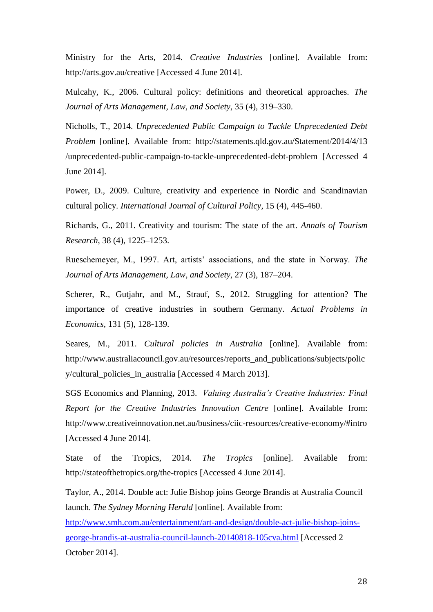Ministry for the Arts, 2014. *Creative Industries* [online]. Available from: <http://arts.gov.au/creative> [Accessed 4 June 2014].

Mulcahy, K., 2006. Cultural policy: definitions and theoretical approaches. *The Journal of Arts Management, Law, and Society*, 35 (4), 319–330.

Nicholls, T., 2014. *Unprecedented Public Campaign to Tackle Unprecedented Debt Problem* [online]. Available from: http://statements.qld.gov.au/Statement/2014/4/13 /unprecedented-public-campaign-to-tackle-unprecedented-debt-problem [Accessed 4 June 2014].

Power, D., 2009. Culture, creativity and experience in Nordic and Scandinavian cultural policy. *International Journal of Cultural Policy*, 15 (4), 445-460.

Richards, G., 2011. Creativity and tourism: The state of the art. *Annals of Tourism Research*, 38 (4), 1225–1253.

Rueschemeyer, M., 1997. Art, artists' associations, and the state in Norway. *The Journal of Arts Management, Law, and Society*, 27 (3), 187–204.

Scherer, R., Gutjahr, and M., Strauf, S., 2012. Struggling for attention? The importance of creative industries in southern Germany. *Actual Problems in Economics,* 131 (5), 128-139.

Seares, M., 2011. *Cultural policies in Australia* [online]. Available from: [http://www.australiacouncil.gov.au/resources/reports\\_and\\_publications/subjects/polic](http://www.australiacouncil.gov.au/resources/reports_and_publications/subjects/policy/cultural_policies_in_australia) [y/cultural\\_policies\\_in\\_australia](http://www.australiacouncil.gov.au/resources/reports_and_publications/subjects/policy/cultural_policies_in_australia) [Accessed 4 March 2013].

SGS Economics and Planning, 2013. *Valuing Australia's Creative Industries: Final Report for the Creative Industries Innovation Centre* [online]. Available from: <http://www.creativeinnovation.net.au/business/ciic-resources/creative-economy/#intro> [Accessed 4 June 2014].

State of the Tropics, 2014. *The Tropics* [online]. Available from: http://stateofthetropics.org/the-tropics [Accessed 4 June 2014].

Taylor, A., 2014. Double act: Julie Bishop joins George Brandis at Australia Council launch. *The Sydney Morning Herald* [online]. Available from:

[http://www.smh.com.au/entertainment/art-and-design/double-act-julie-bishop-joins](http://www.smh.com.au/entertainment/art-and-design/double-act-julie-bishop-joins-george-brandis-at-australia-council-launch-20140818-105cva.html)[george-brandis-at-australia-council-launch-20140818-105cva.html](http://www.smh.com.au/entertainment/art-and-design/double-act-julie-bishop-joins-george-brandis-at-australia-council-launch-20140818-105cva.html) [Accessed 2 October 2014].